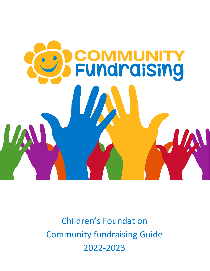

Children's Foundation Community fundraising Guide 2022-2023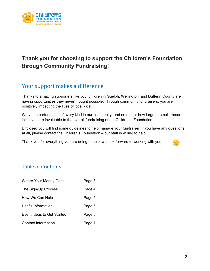

# **Thank you for choosing to support the Children's Foundation through Community Fundraising!**

## Your support makes a difference

Thanks to amazing supporters like you, children in Guelph, Wellington, and Dufferin County are having opportunities they never thought possible. Through community fundraisers, you are positively impacting the lives of local kids!

We value partnerships of every kind in our community, and no matter how large or small, these initiatives are invaluable to the overall fundraising of the Children's Foundation.

Enclosed you will find some guidelines to help manage your fundraiser. If you have any questions at all, please contact the Children's Foundation – our staff is willing to help!

Thank you for everything you are doing to help; we look forward to working with you



## Table of Contents:

| <b>Where Your Money Goes</b> | Page 3 |
|------------------------------|--------|
| The Sign-Up Process          | Page 4 |
| How We Can Help              | Page 5 |
| Useful Information           | Page 6 |
| Event Ideas to Get Started   | Page 6 |
| <b>Contact Information</b>   | Page 7 |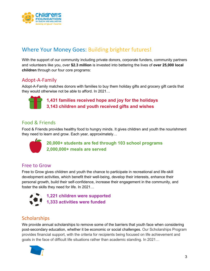

## Where Your Money Goes: Building brighter futures!

With the support of our community including private donors, corporate funders, community partners and volunteers like you, over **\$2.3 million** is invested into bettering the lives of **over 25,000 local children** through our four core programs:

### Adopt-A-Family

Adopt-A-Family matches donors with families to buy them holiday gifts and grocery gift cards that they would otherwise not be able to afford. In 2021…



**1,431 families received hope and joy for the holidays 3,143 children and youth received gifts and wishes**

### Food & Friends

Food & Friends provides healthy food to hungry minds. It gives children and youth the nourishment they need to learn and grow. Each year, approximately…



**20,000+ students are fed through 103 school programs 2,000,000+ meals are served**

### Free to Grow

Free to Grow gives children and youth the chance to participate in recreational and life-skill development activities, which benefit their well-being, develop their interests, enhance their personal growth, build their self-confidence, increase their engagement in the community, and foster the skills they need for life. In 2021…



**1,221 children were supported 1,333 activities were funded**

### **Scholarships**

We provide annual scholarships to remove some of the barriers that youth face when considering post-secondary education, whether it be economic or social challenges. Our Scholarships Program provides financial support, with the criteria for recipients being focused on life achievement and goals in the face of difficult life situations rather than academic standing. In 2021…

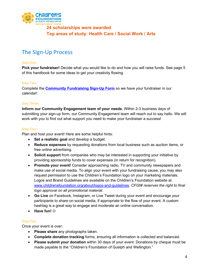

**24 scholarships were awarded Top areas of study: Health Care / Social Work / Arts** 

## The Sign-Up Process

#### Step One:

**Pick your fundraiser!** Decide what you would like to do and how you will raise funds. See page 5 of this handbook for some ideas to get your creativity flowing.

#### Step Two:

Complete the **[Community Fundraising Sign-Up Form](https://docs.google.com/forms/d/e/1FAIpQLScespnKorBhVpdHOvMIxPi-n0lDRDBXMc13UqyaVMsr4XVAaw/viewform)** so we have your fundraiser in our calendar!

#### Step Three:

**Inform our Community Engagement team of your needs.** Within 2-3 business days of submitting your sign-up form, our Community Engagement team will reach out to say hello. We will work with you to find out what support you need to make your fundraiser a success!

#### Step Four:

Plan and host your event! Here are some helpful hints:

- **Set a realistic goal** and develop a budget.
- **Reduce expenses** by requesting donations from local business such as auction items, or free online advertising.
- **Solicit support** from companies who may be interested in supporting your initiative by providing sponsorship funds to cover expenses (in return for recognition).
- **Promote your event!** Consider approaching radio, TV and community newspapers and make use of social media. To align your event with your fundraising cause, you may also request permission to use the Children's Foundation logo on your marketing materials. Logos and Brand Guidelines are available on the Children's Foundation website at [www.childrensfoundation.org/about/logos-and-guidelines.](http://www.childrensfoundation.org/about/logos-and-guidelines) *CFGW reserves the right to final logo approval on all promotional material.*
- **Go Live** on Facebook, Instagram, or Live Tweet during your event and encourage your participants to share on social media, if appropriate to the flow of your event. A custom hashtag is a great way to engage and moderate an online conversation.
- **Have fun!**

#### Step Five:

Once your event is over:

- **Please share** any photographs taken.
- **Complete donation tracking** forms, ensuring all information is collected and balanced.
- **Please submit your donation** within 30 days of your event. Donations by cheque must be made payable to the "Children's Foundation of Guelph and Wellington."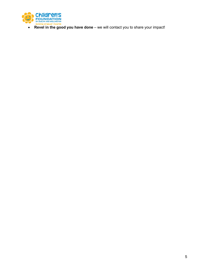

• **Revel in the good you have done** – we will contact you to share your impact!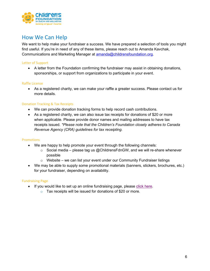

## How We Can Help

We want to help make your fundraiser a success. We have prepared a selection of tools you might find useful. If you're in need of any of these items, please reach out to Amanda Kavchak, Communications and Marketing Manager at [amanda@childrensfoundation.org.](mailto:amanda@childrensfoundation.org)

#### Letter of Support

• A letter from the Foundation confirming the fundraiser may assist in obtaining donations, sponsorships, or support from organizations to participate in your event.

#### Raffle License

• As a registered charity, we can make your raffle a greater success. Please contact us for more details.

#### Donation Tracking & Tax Receipts

- We can provide donation tracking forms to help record cash contributions.
- As a registered charity, we can also issue tax receipts for donations of \$20 or more when applicable. Please provide donor names and mailing addresses to have tax receipts issued. *\*Please note that the Children's Foundation closely adheres to Canada Revenue Agency (CRA) guidelines for tax receipting.*

#### Promotions

- We are happy to help promote your event through the following channels:
	- $\circ$  Social media please tag us @ChildrensFdnGW, and we will re-share whenever possible
	- $\circ$  Website we can list your event under our Community Fundraiser listings
- We may be able to supply some promotional materials (banners, stickers, brochures, etc.) for your fundraiser, depending on availability.

#### Fundraising Page

- If you would like to set up an online fundraising page, please [click here.](https://interland3.donorperfect.net/weblink/weblink.aspx?name=E920301QE&id=111)
	- $\circ$  Tax receipts will be issued for donations of \$20 or more.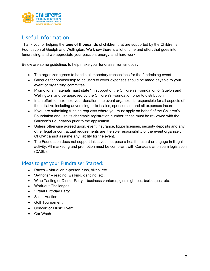

# Useful Information

Thank you for helping the **tens of thousands** of children that are supported by the Children's Foundation of Guelph and Wellington. We know there is a lot of time and effort that goes into fundraising, and we appreciate your passion, energy, and hard work!

Below are some guidelines to help make your fundraiser run smoothly:

- The organizer agrees to handle all monetary transactions for the fundraising event.
- Cheques for sponsorship to be used to cover expenses should be made payable to your event or organizing committee.
- Promotional materials must state "In support of the Children's Foundation of Guelph and Wellington" and be approved by the Children's Foundation prior to distribution.
- In an effort to maximize your donation, the event organizer is responsible for all aspects of the initiative including advertising, ticket sales, sponsorship and all expenses incurred.
- If you are submitting funding requests where you must apply on behalf of the Children's Foundation and use its charitable registration number, these must be reviewed with the Children's Foundation prior to the application.
- Unless otherwise agreed upon, event insurance, liquor licenses, security deposits and any other legal or contractual requirements are the sole responsibility of the event organizer. CFGW cannot assume any liability for the event.
- The Foundation does not support initiatives that pose a health hazard or engage in illegal activity. All marketing and promotion must be compliant with Canada's anti-spam legislation (CASL).

### Ideas to get your Fundraiser Started:

- Races virtual or in-person runs, bikes, etc.
- "A-thons" reading, walking, dancing, etc.
- Wine Tasting or Dinner Party business ventures, girls night out, barbeques, etc.
- Work-out Challenges
- Virtual Birthday Party
- Silent Auction
- Golf Tournament
- Concert or Music Event
- Car Wash